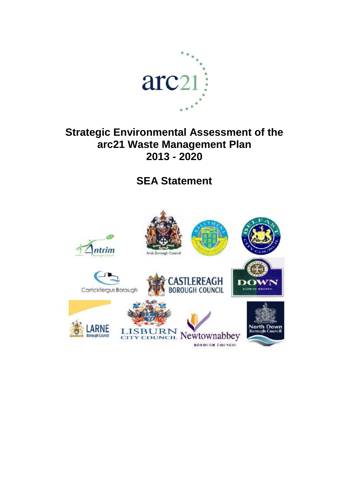

# **Strategic Environmental Assessment of the arc21 Waste Management Plan 2013 - 2020**

**SEA Statement**

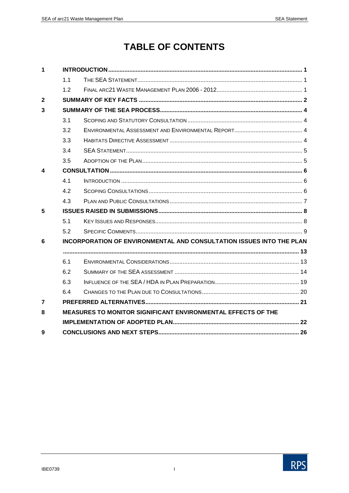# **TABLE OF CONTENTS**

| 1              |     |                                                                             |  |
|----------------|-----|-----------------------------------------------------------------------------|--|
|                | 1.1 |                                                                             |  |
|                | 12  |                                                                             |  |
| $\overline{2}$ |     |                                                                             |  |
| 3              |     |                                                                             |  |
|                | 3.1 |                                                                             |  |
|                | 3.2 |                                                                             |  |
|                | 3.3 |                                                                             |  |
|                | 3.4 |                                                                             |  |
|                | 3.5 |                                                                             |  |
| 4              |     |                                                                             |  |
|                | 4.1 |                                                                             |  |
|                | 4.2 |                                                                             |  |
|                | 4.3 |                                                                             |  |
| 5              |     |                                                                             |  |
|                | 5.1 |                                                                             |  |
|                | 5.2 |                                                                             |  |
| 6              |     | <b>INCORPORATION OF ENVIRONMENTAL AND CONSULTATION ISSUES INTO THE PLAN</b> |  |
|                |     |                                                                             |  |
|                | 6.1 |                                                                             |  |
|                | 6.2 |                                                                             |  |
|                | 6.3 |                                                                             |  |
|                | 6.4 |                                                                             |  |
| 7              |     |                                                                             |  |
| 8              |     | MEASURES TO MONITOR SIGNIFICANT ENVIRONMENTAL EFFECTS OF THE                |  |
|                |     |                                                                             |  |
| 9              |     |                                                                             |  |

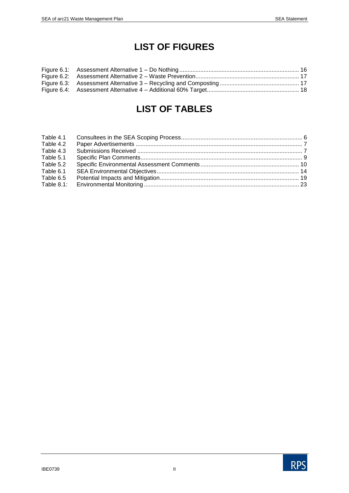# **LIST OF FIGURES**

# **LIST OF TABLES**

| Table 4.2 |  |
|-----------|--|
| Table 4.3 |  |
| Table 5.1 |  |
| Table 5.2 |  |
| Table 6.1 |  |
| Table 6.5 |  |
|           |  |
|           |  |

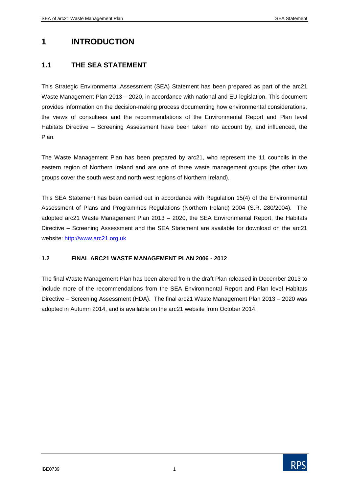# **1 INTRODUCTION**

# **1.1 THE SEA STATEMENT**

This Strategic Environmental Assessment (SEA) Statement has been prepared as part of the arc21 Waste Management Plan 2013 – 2020, in accordance with national and EU legislation. This document provides information on the decision-making process documenting how environmental considerations, the views of consultees and the recommendations of the Environmental Report and Plan level Habitats Directive – Screening Assessment have been taken into account by, and influenced, the Plan.

The Waste Management Plan has been prepared by arc21, who represent the 11 councils in the eastern region of Northern Ireland and are one of three waste management groups (the other two groups cover the south west and north west regions of Northern Ireland).

This SEA Statement has been carried out in accordance with Regulation 15(4) of the Environmental Assessment of Plans and Programmes Regulations (Northern Ireland) 2004 (S.R. 280/2004). The adopted arc21 Waste Management Plan 2013 – 2020, the SEA Environmental Report, the Habitats Directive – Screening Assessment and the SEA Statement are available for download on the arc21 website: [http://www.arc21.org.uk](http://www.arc21.org.uk/filestore/?itemId=8)

#### **1.2 FINAL ARC21 WASTE MANAGEMENT PLAN 2006 - 2012**

The final Waste Management Plan has been altered from the draft Plan released in December 2013 to include more of the recommendations from the SEA Environmental Report and Plan level Habitats Directive – Screening Assessment (HDA). The final arc21 Waste Management Plan 2013 – 2020 was adopted in Autumn 2014, and is available on the arc21 website from October 2014.

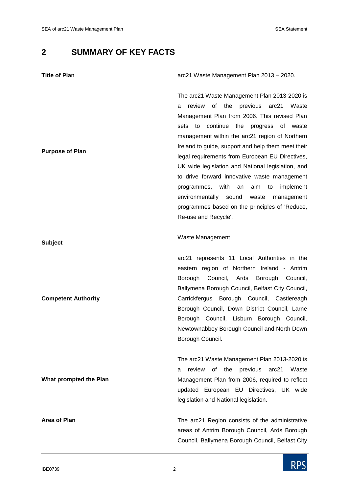# **2 SUMMARY OF KEY FACTS**

| <b>Title of Plan</b>       | arc21 Waste Management Plan 2013 - 2020.                                                                                                                                                                                                                                                                                                                                                                                                                                                                                                                                                                                                             |
|----------------------------|------------------------------------------------------------------------------------------------------------------------------------------------------------------------------------------------------------------------------------------------------------------------------------------------------------------------------------------------------------------------------------------------------------------------------------------------------------------------------------------------------------------------------------------------------------------------------------------------------------------------------------------------------|
| <b>Purpose of Plan</b>     | The arc21 Waste Management Plan 2013-2020 is<br>review of the previous arc21<br>Waste<br>a<br>Management Plan from 2006. This revised Plan<br>continue<br>the<br>sets<br>to<br>progress<br>of<br>waste<br>management within the arc21 region of Northern<br>Ireland to guide, support and help them meet their<br>legal requirements from European EU Directives,<br>UK wide legislation and National legislation, and<br>to drive forward innovative waste management<br>programmes, with<br>an<br>aim<br>to<br>implement<br>environmentally sound<br>waste<br>management<br>programmes based on the principles of 'Reduce,<br>Re-use and Recycle'. |
| <b>Subject</b>             | Waste Management                                                                                                                                                                                                                                                                                                                                                                                                                                                                                                                                                                                                                                     |
| <b>Competent Authority</b> | arc21 represents 11 Local Authorities in the<br>eastern region of Northern Ireland - Antrim<br>Ards<br>Borough Council,<br>Borough<br>Council,<br>Ballymena Borough Council, Belfast City Council,<br>Carrickfergus Borough Council, Castlereagh<br>Borough Council, Down District Council, Larne<br>Borough Council, Lisburn Borough Council,<br>Newtownabbey Borough Council and North Down<br>Borough Council.                                                                                                                                                                                                                                    |
| What prompted the Plan     | The arc21 Waste Management Plan 2013-2020 is<br>review of the previous arc21<br>Waste<br>а<br>Management Plan from 2006, required to reflect<br>updated European EU Directives, UK wide<br>legislation and National legislation.                                                                                                                                                                                                                                                                                                                                                                                                                     |
| <b>Area of Plan</b>        | The arc21 Region consists of the administrative<br>areas of Antrim Borough Council, Ards Borough<br>Council, Ballymena Borough Council, Belfast City                                                                                                                                                                                                                                                                                                                                                                                                                                                                                                 |

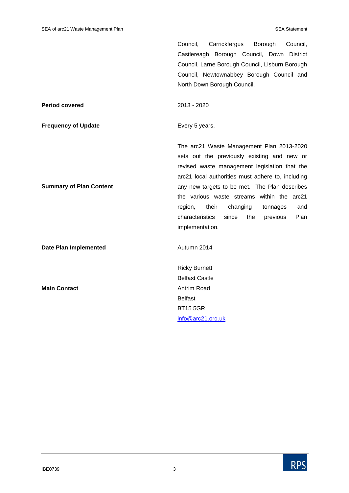|                                | Council,<br>Carrickfergus<br>Borough<br>Council,     |
|--------------------------------|------------------------------------------------------|
|                                | Castlereagh Borough Council, Down<br><b>District</b> |
|                                | Council, Larne Borough Council, Lisburn Borough      |
|                                | Council, Newtownabbey Borough Council and            |
|                                | North Down Borough Council.                          |
| <b>Period covered</b>          | 2013 - 2020                                          |
| <b>Frequency of Update</b>     | Every 5 years.                                       |
|                                | The arc21 Waste Management Plan 2013-2020            |
|                                | sets out the previously existing and new or          |
|                                | revised waste management legislation that the        |
|                                | arc21 local authorities must adhere to, including    |
| <b>Summary of Plan Content</b> | any new targets to be met. The Plan describes        |
|                                | the various waste streams within the arc21           |
|                                | region,<br>their<br>changing<br>tonnages<br>and      |
|                                | characteristics<br>Plan<br>since<br>the<br>previous  |
|                                | implementation.                                      |
| <b>Date Plan Implemented</b>   | Autumn 2014                                          |
|                                | <b>Ricky Burnett</b>                                 |
|                                | <b>Belfast Castle</b>                                |
| <b>Main Contact</b>            | Antrim Road                                          |
|                                | <b>Belfast</b>                                       |
|                                | <b>BT15 5GR</b>                                      |
|                                | info@arc21.org.uk                                    |

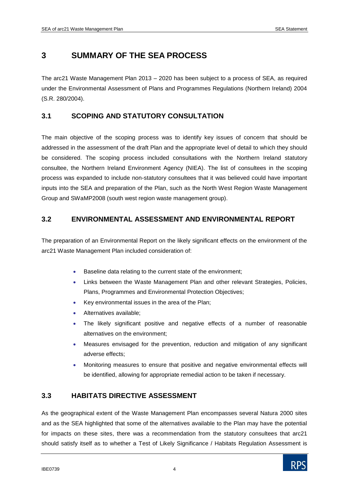# **3 SUMMARY OF THE SEA PROCESS**

The arc21 Waste Management Plan 2013 – 2020 has been subject to a process of SEA, as required under the Environmental Assessment of Plans and Programmes Regulations (Northern Ireland) 2004 (S.R. 280/2004).

# **3.1 SCOPING AND STATUTORY CONSULTATION**

The main objective of the scoping process was to identify key issues of concern that should be addressed in the assessment of the draft Plan and the appropriate level of detail to which they should be considered. The scoping process included consultations with the Northern Ireland statutory consultee, the Northern Ireland Environment Agency (NIEA). The list of consultees in the scoping process was expanded to include non-statutory consultees that it was believed could have important inputs into the SEA and preparation of the Plan, such as the North West Region Waste Management Group and SWaMP2008 (south west region waste management group).

# **3.2 ENVIRONMENTAL ASSESSMENT AND ENVIRONMENTAL REPORT**

The preparation of an Environmental Report on the likely significant effects on the environment of the arc21 Waste Management Plan included consideration of:

- Baseline data relating to the current state of the environment;
- Links between the Waste Management Plan and other relevant Strategies, Policies, Plans, Programmes and Environmental Protection Objectives;
- Key environmental issues in the area of the Plan;
- Alternatives available;
- The likely significant positive and negative effects of a number of reasonable alternatives on the environment;
- Measures envisaged for the prevention, reduction and mitigation of any significant adverse effects;
- Monitoring measures to ensure that positive and negative environmental effects will be identified, allowing for appropriate remedial action to be taken if necessary.

## **3.3 HABITATS DIRECTIVE ASSESSMENT**

As the geographical extent of the Waste Management Plan encompasses several Natura 2000 sites and as the SEA highlighted that some of the alternatives available to the Plan may have the potential for impacts on these sites, there was a recommendation from the statutory consultees that arc21 should satisfy itself as to whether a Test of Likely Significance / Habitats Regulation Assessment is

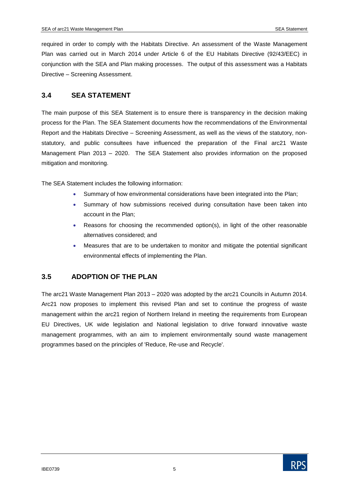required in order to comply with the Habitats Directive. An assessment of the Waste Management Plan was carried out in March 2014 under Article 6 of the EU Habitats Directive (92/43/EEC) in conjunction with the SEA and Plan making processes. The output of this assessment was a Habitats Directive – Screening Assessment.

### **3.4 SEA STATEMENT**

The main purpose of this SEA Statement is to ensure there is transparency in the decision making process for the Plan. The SEA Statement documents how the recommendations of the Environmental Report and the Habitats Directive – Screening Assessment, as well as the views of the statutory, nonstatutory, and public consultees have influenced the preparation of the Final arc21 Waste Management Plan 2013 – 2020. The SEA Statement also provides information on the proposed mitigation and monitoring.

The SEA Statement includes the following information:

- Summary of how environmental considerations have been integrated into the Plan;
- Summary of how submissions received during consultation have been taken into account in the Plan;
- Reasons for choosing the recommended option(s), in light of the other reasonable alternatives considered; and
- Measures that are to be undertaken to monitor and mitigate the potential significant environmental effects of implementing the Plan.

## **3.5 ADOPTION OF THE PLAN**

The arc21 Waste Management Plan 2013 – 2020 was adopted by the arc21 Councils in Autumn 2014. Arc21 now proposes to implement this revised Plan and set to continue the progress of waste management within the arc21 region of Northern Ireland in meeting the requirements from European EU Directives, UK wide legislation and National legislation to drive forward innovative waste management programmes, with an aim to implement environmentally sound waste management programmes based on the principles of 'Reduce, Re-use and Recycle'.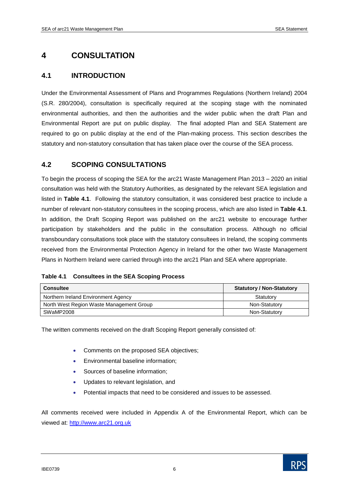# **4 CONSULTATION**

# **4.1 INTRODUCTION**

Under the Environmental Assessment of Plans and Programmes Regulations (Northern Ireland) 2004 (S.R. 280/2004), consultation is specifically required at the scoping stage with the nominated environmental authorities, and then the authorities and the wider public when the draft Plan and Environmental Report are put on public display. The final adopted Plan and SEA Statement are required to go on public display at the end of the Plan-making process. This section describes the statutory and non-statutory consultation that has taken place over the course of the SEA process.

## **4.2 SCOPING CONSULTATIONS**

To begin the process of scoping the SEA for the arc21 Waste Management Plan 2013 – 2020 an initial consultation was held with the Statutory Authorities, as designated by the relevant SEA legislation and listed in **Table 4.1**. Following the statutory consultation, it was considered best practice to include a number of relevant non-statutory consultees in the scoping process, which are also listed in **Table 4.1**. In addition, the Draft Scoping Report was published on the arc21 website to encourage further participation by stakeholders and the public in the consultation process. Although no official transboundary consultations took place with the statutory consultees in Ireland, the scoping comments received from the Environmental Protection Agency in Ireland for the other two Waste Management Plans in Northern Ireland were carried through into the arc21 Plan and SEA where appropriate.

|  | Table 4.1 Consultees in the SEA Scoping Process |
|--|-------------------------------------------------|
|--|-------------------------------------------------|

| <b>Consultee</b>                         | <b>Statutory / Non-Statutory</b> |
|------------------------------------------|----------------------------------|
| Northern Ireland Environment Agency      | Statutory                        |
| North West Region Waste Management Group | Non-Statutory                    |
| SWaMP2008                                | Non-Statutory                    |

The written comments received on the draft Scoping Report generally consisted of:

- Comments on the proposed SEA objectives;
- Environmental baseline information;
- Sources of baseline information;
- Updates to relevant legislation, and
- Potential impacts that need to be considered and issues to be assessed.

All comments received were included in Appendix A of the Environmental Report, which can be viewed at: [http://www.arc21.org.uk](http://www.arc21.org.uk/filestore/?itemId=8)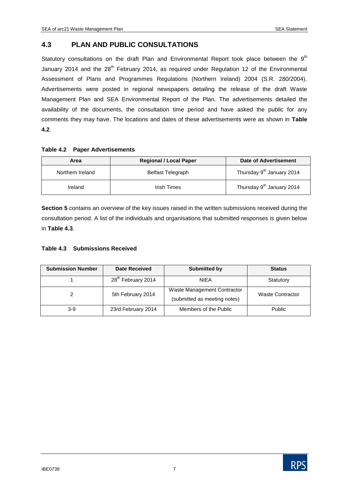## **4.3 PLAN AND PUBLIC CONSULTATIONS**

Statutory consultations on the draft Plan and Environmental Report took place between the  $9<sup>th</sup>$ January 2014 and the 28<sup>th</sup> February 2014, as required under Regulation 12 of the Environmental Assessment of Plans and Programmes Regulations (Northern Ireland) 2004 (S.R. 280/2004). Advertisements were posted in regional newspapers detailing the release of the draft Waste Management Plan and SEA Environmental Report of the Plan. The advertisements detailed the availability of the documents, the consultation time period and have asked the public for any comments they may have. The locations and dates of these advertisements were as shown in **Table 4.2**.

#### **Table 4.2 Paper Advertisements**

| Area             | <b>Regional / Local Paper</b> | Date of Advertisement                 |
|------------------|-------------------------------|---------------------------------------|
| Northern Ireland | <b>Belfast Telegraph</b>      | Thursday 9 <sup>th</sup> January 2014 |
| Ireland          | Irish Times                   | Thursday 9 <sup>th</sup> January 2014 |

**Section 5** contains an overview of the key issues raised in the written submissions received during the consultation period. A list of the individuals and organisations that submitted responses is given below in **Table 4.3**.

#### **Table 4.3 Submissions Received**

| <b>Submission Number</b> | <b>Date Received</b>           | <b>Submitted by</b>                                         | <b>Status</b>           |
|--------------------------|--------------------------------|-------------------------------------------------------------|-------------------------|
|                          | 28 <sup>th</sup> February 2014 | <b>NIEA</b>                                                 | Statutory               |
|                          | 5th February 2014              | Waste Management Contractor<br>(submitted as meeting notes) | <b>Waste Contractor</b> |
| $3-9$                    | 23rd February 2014             | Members of the Public                                       | <b>Public</b>           |

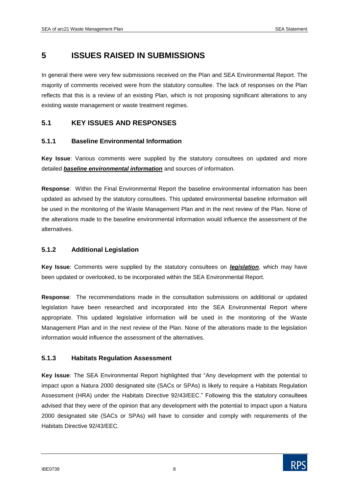# **5 ISSUES RAISED IN SUBMISSIONS**

In general there were very few submissions received on the Plan and SEA Environmental Report. The majority of comments received were from the statutory consultee. The lack of responses on the Plan reflects that this is a review of an existing Plan, which is not proposing significant alterations to any existing waste management or waste treatment regimes.

## **5.1 KEY ISSUES AND RESPONSES**

### **5.1.1 Baseline Environmental Information**

**Key Issue**: Various comments were supplied by the statutory consultees on updated and more detailed *baseline environmental information* and sources of information.

**Response**: Within the Final Environmental Report the baseline environmental information has been updated as advised by the statutory consultees. This updated environmental baseline information will be used in the monitoring of the Waste Management Plan and in the next review of the Plan. None of the alterations made to the baseline environmental information would influence the assessment of the alternatives.

### **5.1.2 Additional Legislation**

**Key Issue**: Comments were supplied by the statutory consultees on *legislation*, which may have been updated or overlooked, to be incorporated within the SEA Environmental Report.

**Response**: The recommendations made in the consultation submissions on additional or updated legislation have been researched and incorporated into the SEA Environmental Report where appropriate. This updated legislative information will be used in the monitoring of the Waste Management Plan and in the next review of the Plan. None of the alterations made to the legislation information would influence the assessment of the alternatives.

#### **5.1.3 Habitats Regulation Assessment**

**Key Issue**: The SEA Environmental Report highlighted that "Any development with the potential to impact upon a Natura 2000 designated site (SACs or SPAs) is likely to require a Habitats Regulation Assessment (HRA) under the Habitats Directive 92/43/EEC." Following this the statutory consultees advised that they were of the opinion that any development with the potential to impact upon a Natura 2000 designated site (SACs or SPAs) will have to consider and comply with requirements of the Habitats Directive 92/43/EEC.

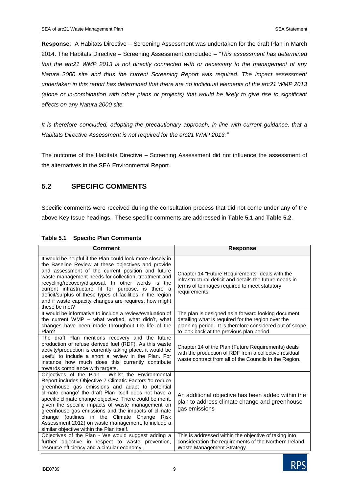**Response**: A Habitats Directive – Screening Assessment was undertaken for the draft Plan in March 2014. The Habitats Directive – Screening Assessment concluded – *"This assessment has determined that the arc21 WMP 2013 is not directly connected with or necessary to the management of any Natura 2000 site and thus the current Screening Report was required. The impact assessment undertaken in this report has determined that there are no individual elements of the arc21 WMP 2013 (alone or in-combination with other plans or projects) that would be likely to give rise to significant effects on any Natura 2000 site.* 

*It is therefore concluded, adopting the precautionary approach, in line with current guidance, that a Habitats Directive Assessment is not required for the arc21 WMP 2013."*

The outcome of the Habitats Directive – Screening Assessment did not influence the assessment of the alternatives in the SEA Environmental Report.

# **5.2 SPECIFIC COMMENTS**

Specific comments were received during the consultation process that did not come under any of the above Key Issue headings. These specific comments are addressed in **Table 5.1** and **Table 5.2**.

| <b>Comment</b>                                                                                                                                                                                                                                                                                                                                                                                                                                                                                                                                        | <b>Response</b>                                                                                                                                                                                                   |
|-------------------------------------------------------------------------------------------------------------------------------------------------------------------------------------------------------------------------------------------------------------------------------------------------------------------------------------------------------------------------------------------------------------------------------------------------------------------------------------------------------------------------------------------------------|-------------------------------------------------------------------------------------------------------------------------------------------------------------------------------------------------------------------|
| It would be helpful if the Plan could look more closely in<br>the Baseline Review at these objectives and provide<br>and assessment of the current position and future<br>waste management needs for collection, treatment and<br>recycling/recovery/disposal. In other words is the<br>current infrastructure fit for purpose, is there a<br>deficit/surplus of these types of facilities in the region<br>and if waste capacity changes are requires, how might<br>these be met?                                                                    | Chapter 14 "Future Requirements" deals with the<br>infrastructural deficit and details the future needs in<br>terms of tonnages required to meet statutory<br>requirements.                                       |
| It would be informative to include a review/evaluation of<br>the current WMP – what worked, what didn't, what<br>changes have been made throughout the life of the<br>Plan?                                                                                                                                                                                                                                                                                                                                                                           | The plan is designed as a forward looking document<br>detailing what is required for the region over the<br>planning period. It is therefore considered out of scope<br>to look back at the previous plan period. |
| The draft Plan mentions recovery and the future<br>production of refuse derived fuel (RDF). As this waste<br>activity/production is currently taking place, it would be<br>useful to include a short a review in the Plan. For<br>instance how much does this currently contribute<br>towards compliance with targets.                                                                                                                                                                                                                                | Chapter 14 of the Plan (Future Requirements) deals<br>with the production of RDF from a collective residual<br>waste contract from all of the Councils in the Region.                                             |
| Objectives of the Plan - Whilst the Environmental<br>Report includes Objective 7 Climatic Factors 'to reduce<br>greenhouse gas emissions and adapt to potential<br>climate change' the draft Plan itself does not have a<br>specific climate change objective. There could be merit,<br>given the specific impacts of waste management on<br>greenhouse gas emissions and the impacts of climate<br>change (outlines in the Climate Change<br>Risk<br>Assessment 2012) on waste management, to include a<br>similar objective within the Plan itself. | An additional objective has been added within the<br>plan to address climate change and greenhouse<br>gas emissions                                                                                               |
| Objectives of the Plan - We would suggest adding a<br>further objective in respect to waste prevention,<br>resource efficiency and a circular economy.                                                                                                                                                                                                                                                                                                                                                                                                | This is addressed within the objective of taking into<br>consideration the requirements of the Northern Ireland<br>Waste Management Strategy.                                                                     |

#### **Table 5.1 Specific Plan Comments**

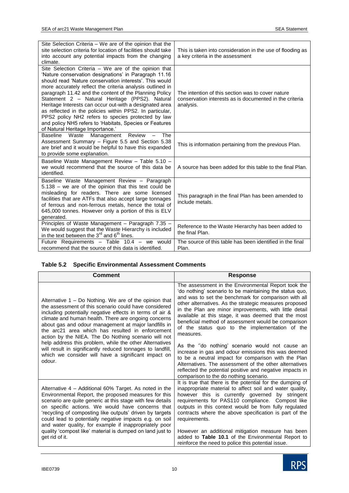| Site Selection Criteria – We are of the opinion that the<br>site selection criteria for location of facilities should take<br>into account any potential impacts from the changing<br>climate.                                                                                                                                                                                                                                                                                                                                                                                                                                | This is taken into consideration in the use of flooding as<br>a key criteria in the assessment                            |
|-------------------------------------------------------------------------------------------------------------------------------------------------------------------------------------------------------------------------------------------------------------------------------------------------------------------------------------------------------------------------------------------------------------------------------------------------------------------------------------------------------------------------------------------------------------------------------------------------------------------------------|---------------------------------------------------------------------------------------------------------------------------|
| Site Selection Criteria - We are of the opinion that<br>'Nature conservation designations' in Paragraph 11.16<br>should read 'Nature conservation interests'. This would<br>more accurately reflect the criteria analysis outlined in<br>paragraph 11.42 and the content of the Planning Policy<br>Statement 2 - Natural Heritage (PPS2). Natural<br>Heritage Interests can occur out-with a designated area<br>as reflected in the policies within PPS2. In particular,<br>PPS2 policy NH2 refers to species protected by law<br>and policy NH5 refers to 'Habitats, Species or Features<br>of Natural Heritage Importance.' | The intention of this section was to cover nature<br>conservation interests as is documented in the criteria<br>analysis. |
| Baseline Waste Management Review<br>The<br>Assessment Summary - Figure 5.5 and Section 5.38<br>are brief and it would be helpful to have this expanded<br>to provide some explanation.                                                                                                                                                                                                                                                                                                                                                                                                                                        | This is information pertaining from the previous Plan.                                                                    |
| Baseline Waste Management Review - Table 5.10 -<br>we would recommend that the source of this data be<br>identified.                                                                                                                                                                                                                                                                                                                                                                                                                                                                                                          | A source has been added for this table to the final Plan.                                                                 |
| Baseline Waste Management Review - Paragraph<br>5.138 - we are of the opinion that this text could be<br>misleading for readers. There are some licensed<br>facilities that are ATFs that also accept large tonnages<br>of ferrous and non-ferrous metals, hence the total of<br>645,000 tonnes. However only a portion of this is ELV<br>generated.                                                                                                                                                                                                                                                                          | This paragraph in the final Plan has been amended to<br>include metals.                                                   |
| Principles of Waste Management - Paragraph 7.35 -<br>We would suggest that the Waste Hierarchy is included<br>in the text between the $3^{rd}$ and $6^{th}$ lines.                                                                                                                                                                                                                                                                                                                                                                                                                                                            | Reference to the Waste Hierarchy has been added to<br>the final Plan.                                                     |
| Future Requirements - Table 10.4 - we would<br>recommend that the source of this data is identified.                                                                                                                                                                                                                                                                                                                                                                                                                                                                                                                          | The source of this table has been identified in the final<br>Plan.                                                        |

#### **Table 5.2 Specific Environmental Assessment Comments**

| Comment                                                                                                                                                                                                                                                                                                                                                                                                                                                              | <b>Response</b>                                                                                                                                                                                                                                                                                                                                                                                                                                                          |
|----------------------------------------------------------------------------------------------------------------------------------------------------------------------------------------------------------------------------------------------------------------------------------------------------------------------------------------------------------------------------------------------------------------------------------------------------------------------|--------------------------------------------------------------------------------------------------------------------------------------------------------------------------------------------------------------------------------------------------------------------------------------------------------------------------------------------------------------------------------------------------------------------------------------------------------------------------|
| Alternative $1 - Do$ Nothing. We are of the opinion that<br>the assessment of this scenario could have considered<br>including potentially negative effects in terms of air &<br>climate and human health. There are ongoing concerns<br>about gas and odour management at major landfills in<br>the arc21 area which has resulted in enforcement<br>action by the NIEA. The Do Nothing scenario will not<br>help address this problem, while the other Alternatives | The assessment in the Environmental Report took the<br>'do nothing' scenario to be maintaining the status quo,<br>and was to set the benchmark for comparison with all<br>other alternatives. As the strategic measures proposed<br>in the Plan are minor improvements, with little detail<br>available at this stage, it was deemed that the most<br>beneficial method of assessment would be comparison<br>of the status quo to the implementation of the<br>measures. |
| will result in significantly reduced tonnages to landfill,<br>which we consider will have a significant impact on<br>odour.                                                                                                                                                                                                                                                                                                                                          | As the "do nothing" scenario would not cause an<br>increase in gas and odour emissions this was deemed<br>to be a neutral impact for comparison with the Plan<br>Alternatives. The assessment of the other alternatives<br>reflected the potential positive and negative impacts in<br>comparison to the do nothing scenario.                                                                                                                                            |
| Alternative 4 – Additional 60% Target. As noted in the<br>Environmental Report, the proposed measures for this<br>scenario are quite generic at this stage with few details<br>on specific actions. We would have concerns that<br>'recycling of composting like outputs' driven by targets<br>could lead to potentially negative impacts e.g. on soil<br>and water quality, for example if inappropriately poor                                                     | It is true that there is the potential for the dumping of<br>inappropriate material to affect soil and water quality,<br>however this is currently governed<br>by stringent<br>requirements for PAS110 compliance. Compost like<br>outputs in this context would be from fully regulated<br>contracts where the above specification is part of the<br>requirements.                                                                                                      |
| quality 'compost like' material is dumped on land just to<br>get rid of it.                                                                                                                                                                                                                                                                                                                                                                                          | However an additional mitigation measure has been<br>added to Table 10.1 of the Environmental Report to<br>reinforce the need to police this potential issue.                                                                                                                                                                                                                                                                                                            |

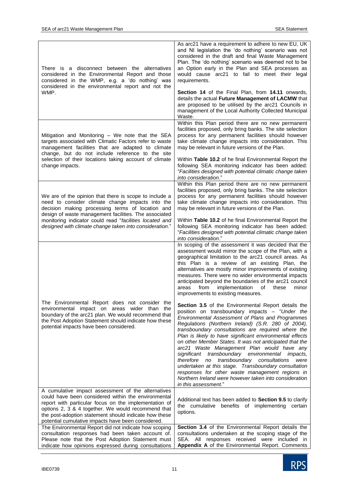| There is a disconnect between the alternatives<br>considered in the Environmental Report and those<br>considered in the WMP, e.g. a 'do nothing' was<br>considered in the environmental report and not the<br>WMP.                                                                                                                            | As arc21 have a requirement to adhere to new EU, UK<br>and NI legislation the 'do nothing' scenario was not<br>considered in the draft and final Waste Management<br>Plan. The 'do nothing' scenario was deemed not to be<br>an Option early in the Plan and SEA processes as<br>would cause arc21 to fail to meet their legal<br>requirements.<br>Section 14 of the Final Plan, from 14.11 onwards,<br>details the actual Future Management of LACMW that<br>are proposed to be utilised by the arc21 Councils in<br>management of the Local Authority Collected Municipal<br>Waste.                                                                                                                                                                                                                                                                                                                                                                                                                                                                                                                                                                                                                                                                    |  |
|-----------------------------------------------------------------------------------------------------------------------------------------------------------------------------------------------------------------------------------------------------------------------------------------------------------------------------------------------|----------------------------------------------------------------------------------------------------------------------------------------------------------------------------------------------------------------------------------------------------------------------------------------------------------------------------------------------------------------------------------------------------------------------------------------------------------------------------------------------------------------------------------------------------------------------------------------------------------------------------------------------------------------------------------------------------------------------------------------------------------------------------------------------------------------------------------------------------------------------------------------------------------------------------------------------------------------------------------------------------------------------------------------------------------------------------------------------------------------------------------------------------------------------------------------------------------------------------------------------------------|--|
| Mitigation and Monitoring - We note that the SEA<br>targets associated with Climatic Factors refer to waste<br>management facilities that are adapted to climate<br>change, but do not include reference to the site<br>selection of their locations taking account of climate<br>change impacts.                                             | Within this Plan period there are no new permanent<br>facilities proposed, only bring banks. The site selection<br>process for any permanent facilities should however<br>take climate change impacts into consideration. This<br>may be relevant in future versions of the Plan.<br>Within Table 10.2 of he final Environmental Report the<br>following SEA monitoring indicator has been added:<br>"Facilities designed with potential climatic change taken                                                                                                                                                                                                                                                                                                                                                                                                                                                                                                                                                                                                                                                                                                                                                                                           |  |
|                                                                                                                                                                                                                                                                                                                                               | into consideration."                                                                                                                                                                                                                                                                                                                                                                                                                                                                                                                                                                                                                                                                                                                                                                                                                                                                                                                                                                                                                                                                                                                                                                                                                                     |  |
| We are of the opinion that there is scope to include a<br>need to consider climate change impacts into the<br>decision making processing terms of location and<br>design of waste management facilities. The associated<br>monitoring indicator could read "facilities located and<br>designed with climate change taken into consideration." | Within this Plan period there are no new permanent<br>facilities proposed, only bring banks. The site selection<br>process for any permanent facilities should however<br>take climate change impacts into consideration. This<br>may be relevant in future versions of the Plan.<br>Within Table 10.2 of he final Environmental Report the<br>following SEA monitoring indicator has been added:<br>"Facilities designed with potential climatic change taken                                                                                                                                                                                                                                                                                                                                                                                                                                                                                                                                                                                                                                                                                                                                                                                           |  |
|                                                                                                                                                                                                                                                                                                                                               | into consideration."                                                                                                                                                                                                                                                                                                                                                                                                                                                                                                                                                                                                                                                                                                                                                                                                                                                                                                                                                                                                                                                                                                                                                                                                                                     |  |
| The Environmental Report does not consider the<br>environmental impact on areas wider than<br>the<br>boundary of the arc21 plan. We would recommend that<br>the Post Adoption Statement should indicate how these<br>potential impacts have been considered.                                                                                  | In scoping of the assessment it was decided that the<br>assessment would mirror the scope of the Plan, with a<br>geographical limitation to the arc21 council areas. As<br>this Plan is a review of an existing Plan, the<br>alternatives are mostly minor improvements of existing<br>measures. There were no wider environmental impacts<br>anticipated beyond the boundaries of the arc21 council<br>from<br>implementation<br>of<br>areas<br>these<br>minor<br>improvements to existing measures.<br>Section 3.5 of the Environmental Report details the<br>position on transboundary impacts - "Under the<br>Environmental Assessment of Plans and Programmes<br>Regulations (Northern Ireland) (S.R. 280 of 2004),<br>transboundary consultations are required where the<br>Plan is likely to have significant environmental effects<br>on other Member States. It was not anticipated that the<br>arc21 Waste Management Plan would have any<br>significant transboundary environmental impacts,<br>therefore no transboundary consultations<br>were<br>undertaken at this stage. Transboundary consultation<br>responses for other waste management regions in<br>Northern Ireland were however taken into consideration<br>in this assessment." |  |
| A cumulative impact assessment of the alternatives                                                                                                                                                                                                                                                                                            |                                                                                                                                                                                                                                                                                                                                                                                                                                                                                                                                                                                                                                                                                                                                                                                                                                                                                                                                                                                                                                                                                                                                                                                                                                                          |  |
| could have been considered within the environmental<br>report with particular focus on the implementation of<br>options 2, 3 & 4 together. We would recommend that<br>the post-adoption statement should indicate how these<br>potential cumulative impacts have been considered.                                                             | Additional text has been added to Section 9.5 to clarify<br>the cumulative benefits of implementing certain<br>options.                                                                                                                                                                                                                                                                                                                                                                                                                                                                                                                                                                                                                                                                                                                                                                                                                                                                                                                                                                                                                                                                                                                                  |  |
| The Environmental Report did not indicate how scoping                                                                                                                                                                                                                                                                                         | Section 3.4 of the Environmental Report details the                                                                                                                                                                                                                                                                                                                                                                                                                                                                                                                                                                                                                                                                                                                                                                                                                                                                                                                                                                                                                                                                                                                                                                                                      |  |
| consultation responses had been taken account of.                                                                                                                                                                                                                                                                                             | consultations undertaken at the scoping stage of the                                                                                                                                                                                                                                                                                                                                                                                                                                                                                                                                                                                                                                                                                                                                                                                                                                                                                                                                                                                                                                                                                                                                                                                                     |  |
| Please note that the Post Adoption Statement must<br>indicate how opinions expressed during consultations                                                                                                                                                                                                                                     | SEA. All responses received were included in<br>Appendix A of the Environmental Report. Comments                                                                                                                                                                                                                                                                                                                                                                                                                                                                                                                                                                                                                                                                                                                                                                                                                                                                                                                                                                                                                                                                                                                                                         |  |

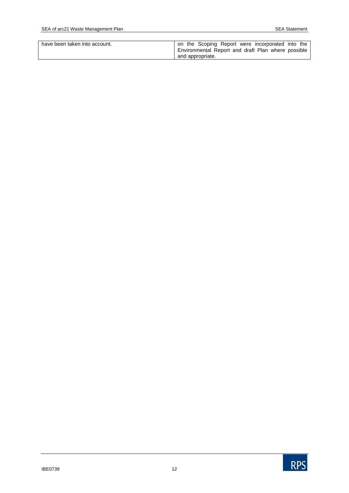| have been taken into account. | on the Scoping Report were incorporated into the   |
|-------------------------------|----------------------------------------------------|
|                               | Environmental Report and draft Plan where possible |
|                               | and appropriate.                                   |

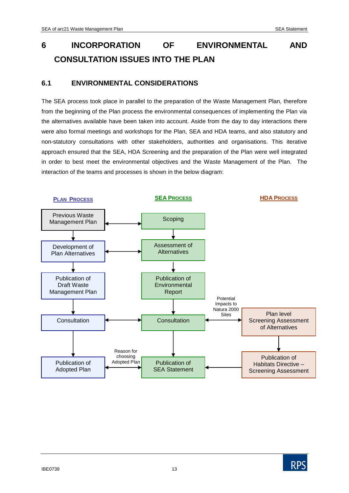# **6 INCORPORATION OF ENVIRONMENTAL AND CONSULTATION ISSUES INTO THE PLAN**

# **6.1 ENVIRONMENTAL CONSIDERATIONS**

The SEA process took place in parallel to the preparation of the Waste Management Plan, therefore from the beginning of the Plan process the environmental consequences of implementing the Plan via the alternatives available have been taken into account. Aside from the day to day interactions there were also formal meetings and workshops for the Plan, SEA and HDA teams, and also statutory and non-statutory consultations with other stakeholders, authorities and organisations. This iterative approach ensured that the SEA, HDA Screening and the preparation of the Plan were well integrated in order to best meet the environmental objectives and the Waste Management of the Plan. The interaction of the teams and processes is shown in the below diagram:



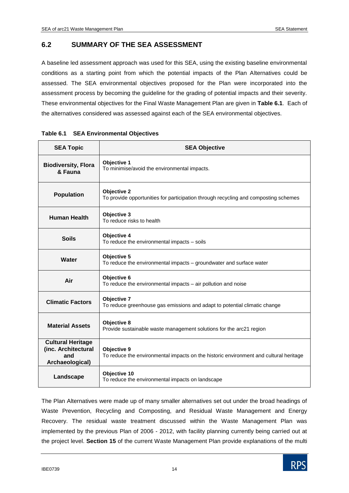# **6.2 SUMMARY OF THE SEA ASSESSMENT**

A baseline led assessment approach was used for this SEA, using the existing baseline environmental conditions as a starting point from which the potential impacts of the Plan Alternatives could be assessed. The SEA environmental objectives proposed for the Plan were incorporated into the assessment process by becoming the guideline for the grading of potential impacts and their severity. These environmental objectives for the Final Waste Management Plan are given in **Table 6.1**. Each of the alternatives considered was assessed against each of the SEA environmental objectives.

| <b>SEA Topic</b>                                                          | <b>SEA Objective</b>                                                                                      |  |  |  |
|---------------------------------------------------------------------------|-----------------------------------------------------------------------------------------------------------|--|--|--|
| <b>Biodiversity, Flora</b><br>& Fauna                                     | Objective 1<br>To minimise/avoid the environmental impacts.                                               |  |  |  |
| <b>Population</b>                                                         | <b>Objective 2</b><br>To provide opportunities for participation through recycling and composting schemes |  |  |  |
| <b>Human Health</b>                                                       | Objective 3<br>To reduce risks to health                                                                  |  |  |  |
| <b>Soils</b>                                                              | Objective 4<br>To reduce the environmental impacts - soils                                                |  |  |  |
| Water                                                                     | Objective 5<br>To reduce the environmental impacts - groundwater and surface water                        |  |  |  |
| Air                                                                       | Objective 6<br>To reduce the environmental impacts - air pollution and noise                              |  |  |  |
| <b>Climatic Factors</b>                                                   | Objective 7<br>To reduce greenhouse gas emissions and adapt to potential climatic change                  |  |  |  |
| <b>Material Assets</b>                                                    | Objective 8<br>Provide sustainable waste management solutions for the arc21 region                        |  |  |  |
| <b>Cultural Heritage</b><br>(inc. Architectural<br>and<br>Archaeological) | Objective 9<br>To reduce the environmental impacts on the historic environment and cultural heritage      |  |  |  |
| Landscape                                                                 | Objective 10<br>To reduce the environmental impacts on landscape                                          |  |  |  |

|  | Table 6.1 SEA Environmental Objectives |
|--|----------------------------------------|
|--|----------------------------------------|

The Plan Alternatives were made up of many smaller alternatives set out under the broad headings of Waste Prevention, Recycling and Composting, and Residual Waste Management and Energy Recovery. The residual waste treatment discussed within the Waste Management Plan was implemented by the previous Plan of 2006 - 2012, with facility planning currently being carried out at the project level. **Section 15** of the current Waste Management Plan provide explanations of the multi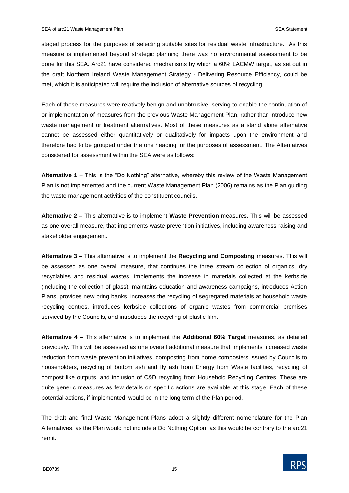staged process for the purposes of selecting suitable sites for residual waste infrastructure. As this measure is implemented beyond strategic planning there was no environmental assessment to be done for this SEA. Arc21 have considered mechanisms by which a 60% LACMW target, as set out in the draft Northern Ireland Waste Management Strategy - Delivering Resource Efficiency, could be met, which it is anticipated will require the inclusion of alternative sources of recycling.

Each of these measures were relatively benign and unobtrusive, serving to enable the continuation of or implementation of measures from the previous Waste Management Plan, rather than introduce new waste management or treatment alternatives. Most of these measures as a stand alone alternative cannot be assessed either quantitatively or qualitatively for impacts upon the environment and therefore had to be grouped under the one heading for the purposes of assessment. The Alternatives considered for assessment within the SEA were as follows:

**Alternative 1** – This is the "Do Nothing" alternative, whereby this review of the Waste Management Plan is not implemented and the current Waste Management Plan (2006) remains as the Plan guiding the waste management activities of the constituent councils.

**Alternative 2 –** This alternative is to implement **Waste Prevention** measures. This will be assessed as one overall measure, that implements waste prevention initiatives, including awareness raising and stakeholder engagement.

**Alternative 3 –** This alternative is to implement the **Recycling and Composting** measures. This will be assessed as one overall measure, that continues the three stream collection of organics, dry recyclables and residual wastes, implements the increase in materials collected at the kerbside (including the collection of glass), maintains education and awareness campaigns, introduces Action Plans, provides new bring banks, increases the recycling of segregated materials at household waste recycling centres, introduces kerbside collections of organic wastes from commercial premises serviced by the Councils, and introduces the recycling of plastic film.

**Alternative 4 –** This alternative is to implement the **Additional 60% Target** measures, as detailed previously. This will be assessed as one overall additional measure that implements increased waste reduction from waste prevention initiatives, composting from home composters issued by Councils to householders, recycling of bottom ash and fly ash from Energy from Waste facilities, recycling of compost like outputs, and inclusion of C&D recycling from Household Recycling Centres. These are quite generic measures as few details on specific actions are available at this stage. Each of these potential actions, if implemented, would be in the long term of the Plan period.

The draft and final Waste Management Plans adopt a slightly different nomenclature for the Plan Alternatives, as the Plan would not include a Do Nothing Option, as this would be contrary to the arc21 remit.

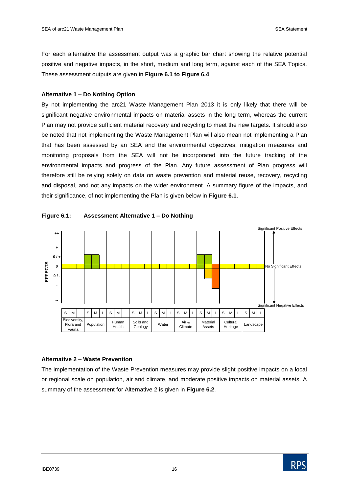For each alternative the assessment output was a graphic bar chart showing the relative potential positive and negative impacts, in the short, medium and long term, against each of the SEA Topics. These assessment outputs are given in **Figure 6.1 to Figure 6.4**.

#### **Alternative 1 – Do Nothing Option**

By not implementing the arc21 Waste Management Plan 2013 it is only likely that there will be significant negative environmental impacts on material assets in the long term, whereas the current Plan may not provide sufficient material recovery and recycling to meet the new targets. It should also be noted that not implementing the Waste Management Plan will also mean not implementing a Plan that has been assessed by an SEA and the environmental objectives, mitigation measures and monitoring proposals from the SEA will not be incorporated into the future tracking of the environmental impacts and progress of the Plan. Any future assessment of Plan progress will therefore still be relying solely on data on waste prevention and material reuse, recovery, recycling and disposal, and not any impacts on the wider environment. A summary figure of the impacts, and their significance, of not implementing the Plan is given below in **Figure 6.1**.





## **Alternative 2 – Waste Prevention**

The implementation of the Waste Prevention measures may provide slight positive impacts on a local or regional scale on population, air and climate, and moderate positive impacts on material assets. A summary of the assessment for Alternative 2 is given in **Figure 6.2**.

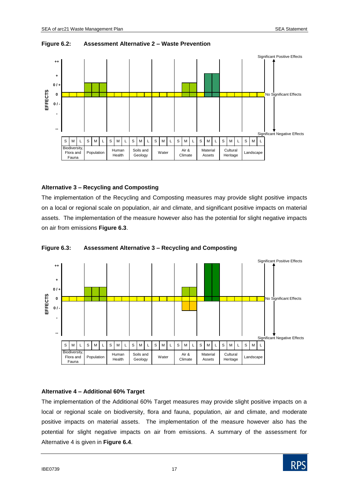

#### **Figure 6.2: Assessment Alternative 2 – Waste Prevention**

#### **Alternative 3 – Recycling and Composting**

The implementation of the Recycling and Composting measures may provide slight positive impacts on a local or regional scale on population, air and climate, and significant positive impacts on material assets. The implementation of the measure however also has the potential for slight negative impacts on air from emissions **Figure 6.3**.





#### **Alternative 4 – Additional 60% Target**

The implementation of the Additional 60% Target measures may provide slight positive impacts on a local or regional scale on biodiversity, flora and fauna, population, air and climate, and moderate positive impacts on material assets. The implementation of the measure however also has the potential for slight negative impacts on air from emissions. A summary of the assessment for Alternative 4 is given in **Figure 6.4**.

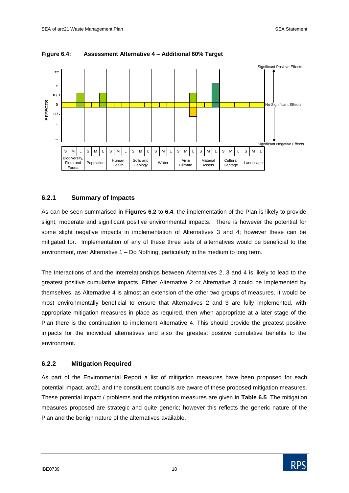

#### **Figure 6.4: Assessment Alternative 4 – Additional 60% Target**

#### **6.2.1 Summary of Impacts**

As can be seen summarised in **Figures 6.2** to **6.4**, the implementation of the Plan is likely to provide slight, moderate and significant positive environmental impacts. There is however the potential for some slight negative impacts in implementation of Alternatives 3 and 4; however these can be mitigated for. Implementation of any of these three sets of alternatives would be beneficial to the environment, over Alternative 1 – Do Nothing, particularly in the medium to long term.

The Interactions of and the interrelationships between Alternatives 2, 3 and 4 is likely to lead to the greatest positive cumulative impacts. Either Alternative 2 or Alternative 3 could be implemented by themselves, as Alternative 4 is almost an extension of the other two groups of measures. It would be most environmentally beneficial to ensure that Alternatives 2 and 3 are fully implemented, with appropriate mitigation measures in place as required, then when appropriate at a later stage of the Plan there is the continuation to implement Alternative 4. This should provide the greatest positive impacts for the individual alternatives and also the greatest positive cumulative benefits to the environment.

#### **6.2.2 Mitigation Required**

As part of the Environmental Report a list of mitigation measures have been proposed for each potential impact. arc21 and the constituent councils are aware of these proposed mitigation measures. These potential impact / problems and the mitigation measures are given in **Table 6.5**. The mitigation measures proposed are strategic and quite generic; however this reflects the generic nature of the Plan and the benign nature of the alternatives available.

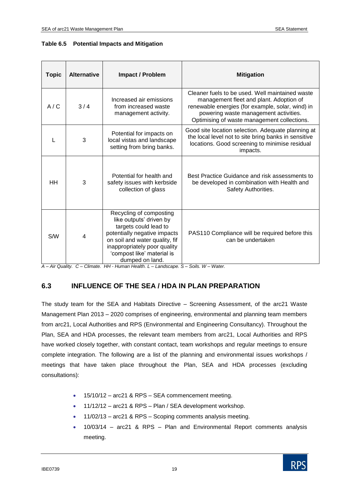| Table 6.5 |  |  |  | <b>Potential Impacts and Mitigation</b> |
|-----------|--|--|--|-----------------------------------------|
|-----------|--|--|--|-----------------------------------------|

| <b>Topic</b> | <b>Alternative</b> | <b>Impact / Problem</b>                                                                                                                                                                                                        | <b>Mitigation</b>                                                                                                                                                                                                                      |
|--------------|--------------------|--------------------------------------------------------------------------------------------------------------------------------------------------------------------------------------------------------------------------------|----------------------------------------------------------------------------------------------------------------------------------------------------------------------------------------------------------------------------------------|
| A/C          | 3/4                | Increased air emissions<br>from increased waste<br>management activity.                                                                                                                                                        | Cleaner fuels to be used. Well maintained waste<br>management fleet and plant. Adoption of<br>renewable energies (for example, solar, wind) in<br>powering waste management activities.<br>Optimising of waste management collections. |
|              | 3                  | Potential for impacts on<br>local vistas and landscape<br>setting from bring banks.                                                                                                                                            | Good site location selection. Adequate planning at<br>the local level not to site bring banks in sensitive<br>locations. Good screening to minimise residual<br>impacts.                                                               |
| HH           | 3                  | Potential for health and<br>safety issues with kerbside<br>collection of glass                                                                                                                                                 | Best Practice Guidance and risk assessments to<br>be developed in combination with Health and<br>Safety Authorities.                                                                                                                   |
| <b>S/W</b>   | 4                  | Recycling of composting<br>like outputs' driven by<br>targets could lead to<br>potentially negative impacts<br>on soil and water quality, fif<br>inappropriately poor quality<br>'compost like' material is<br>dumped on land. | PAS110 Compliance will be required before this<br>can be undertaken                                                                                                                                                                    |

*A – Air Quality. C – Climate. HH - Human Health. L – Landscape. S – Soils. W – Water.*

# **6.3 INFLUENCE OF THE SEA / HDA IN PLAN PREPARATION**

The study team for the SEA and Habitats Directive – Screening Assessment, of the arc21 Waste Management Plan 2013 – 2020 comprises of engineering, environmental and planning team members from arc21, Local Authorities and RPS (Environmental and Engineering Consultancy). Throughout the Plan, SEA and HDA processes, the relevant team members from arc21, Local Authorities and RPS have worked closely together, with constant contact, team workshops and regular meetings to ensure complete integration. The following are a list of the planning and environmental issues workshops / meetings that have taken place throughout the Plan, SEA and HDA processes (excluding consultations):

- 15/10/12 arc21 & RPS SEA commencement meeting.
- 11/12/12 arc21 & RPS Plan / SEA development workshop.
- 11/02/13 arc21 & RPS Scoping comments analysis meeting.
- 10/03/14 arc21 & RPS Plan and Environmental Report comments analysis meeting.

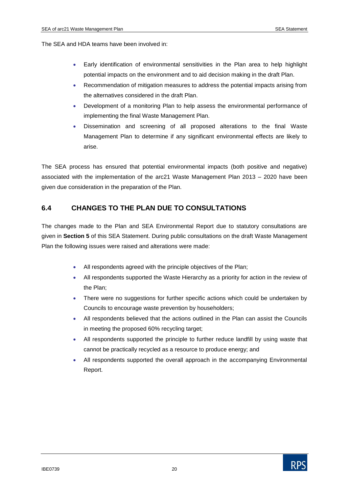The SEA and HDA teams have been involved in:

- Early identification of environmental sensitivities in the Plan area to help highlight potential impacts on the environment and to aid decision making in the draft Plan.
- Recommendation of mitigation measures to address the potential impacts arising from the alternatives considered in the draft Plan.
- Development of a monitoring Plan to help assess the environmental performance of implementing the final Waste Management Plan.
- Dissemination and screening of all proposed alterations to the final Waste Management Plan to determine if any significant environmental effects are likely to arise.

The SEA process has ensured that potential environmental impacts (both positive and negative) associated with the implementation of the arc21 Waste Management Plan 2013 – 2020 have been given due consideration in the preparation of the Plan.

# **6.4 CHANGES TO THE PLAN DUE TO CONSULTATIONS**

The changes made to the Plan and SEA Environmental Report due to statutory consultations are given in **Section 5** of this SEA Statement. During public consultations on the draft Waste Management Plan the following issues were raised and alterations were made:

- All respondents agreed with the principle objectives of the Plan;
- All respondents supported the Waste Hierarchy as a priority for action in the review of the Plan;
- There were no suggestions for further specific actions which could be undertaken by Councils to encourage waste prevention by householders;
- All respondents believed that the actions outlined in the Plan can assist the Councils in meeting the proposed 60% recycling target;
- All respondents supported the principle to further reduce landfill by using waste that cannot be practically recycled as a resource to produce energy; and
- All respondents supported the overall approach in the accompanying Environmental Report.

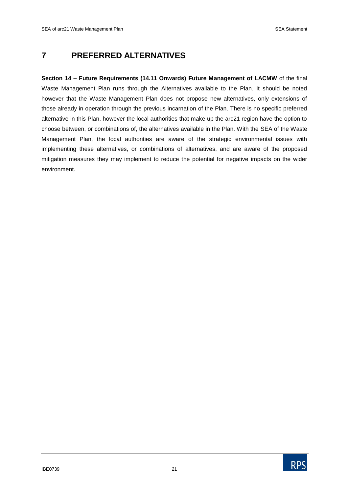# **7 PREFERRED ALTERNATIVES**

**Section 14 – Future Requirements (14.11 Onwards) Future Management of LACMW** of the final Waste Management Plan runs through the Alternatives available to the Plan. It should be noted however that the Waste Management Plan does not propose new alternatives, only extensions of those already in operation through the previous incarnation of the Plan. There is no specific preferred alternative in this Plan, however the local authorities that make up the arc21 region have the option to choose between, or combinations of, the alternatives available in the Plan. With the SEA of the Waste Management Plan, the local authorities are aware of the strategic environmental issues with implementing these alternatives, or combinations of alternatives, and are aware of the proposed mitigation measures they may implement to reduce the potential for negative impacts on the wider environment.

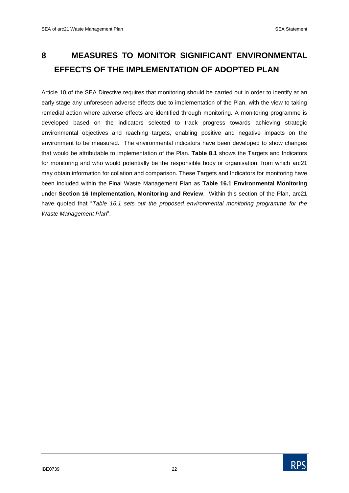# **8 MEASURES TO MONITOR SIGNIFICANT ENVIRONMENTAL EFFECTS OF THE IMPLEMENTATION OF ADOPTED PLAN**

Article 10 of the SEA Directive requires that monitoring should be carried out in order to identify at an early stage any unforeseen adverse effects due to implementation of the Plan, with the view to taking remedial action where adverse effects are identified through monitoring. A monitoring programme is developed based on the indicators selected to track progress towards achieving strategic environmental objectives and reaching targets, enabling positive and negative impacts on the environment to be measured. The environmental indicators have been developed to show changes that would be attributable to implementation of the Plan. **Table 8.1** shows the Targets and Indicators for monitoring and who would potentially be the responsible body or organisation, from which arc21 may obtain information for collation and comparison. These Targets and Indicators for monitoring have been included within the Final Waste Management Plan as **Table 16.1 Environmental Monitoring** under **Section 16 Implementation, Monitoring and Review**. Within this section of the Plan, arc21 have quoted that "*Table 16.1 sets out the proposed environmental monitoring programme for the Waste Management Plan*".

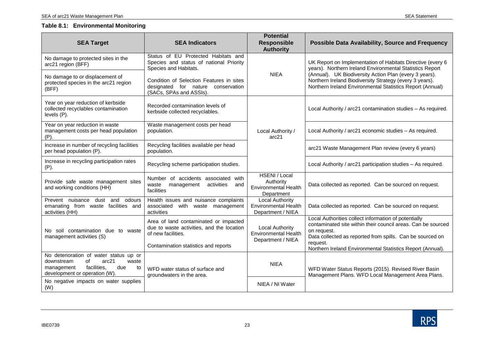#### **Table 8.1: Environmental Monitoring**

| <b>SEA Target</b>                                                                                                                                       | <b>SEA Indicators</b>                                                                                                                            | <b>Potential</b><br><b>Responsible</b><br><b>Authority</b>                 | <b>Possible Data Availability, Source and Frequency</b>                                                                                                                                                                                                                                                  |
|---------------------------------------------------------------------------------------------------------------------------------------------------------|--------------------------------------------------------------------------------------------------------------------------------------------------|----------------------------------------------------------------------------|----------------------------------------------------------------------------------------------------------------------------------------------------------------------------------------------------------------------------------------------------------------------------------------------------------|
| No damage to protected sites in the<br>arc21 region (BFF)                                                                                               | Status of EU Protected Habitats and<br>Species and status of national Priority<br>Species and Habitats.                                          |                                                                            | UK Report on Implementation of Habitats Directive (every 6<br>years). Northern Ireland Environmental Statistics Report<br>(Annual). UK Biodiversity Action Plan (every 3 years).<br>Northern Ireland Biodiversity Strategy (every 3 years).<br>Northern Ireland Environmental Statistics Report (Annual) |
| No damage to or displacement of<br>protected species in the arc21 region<br>(BFF)                                                                       | Condition of Selection Features in sites<br>designated for nature conservation<br>(SACs, SPAs and ASSIs).                                        | <b>NIEA</b>                                                                |                                                                                                                                                                                                                                                                                                          |
| Year on year reduction of kerbside<br>collected recyclables contamination<br>levels (P).                                                                | Recorded contamination levels of<br>kerbside collected recyclables.                                                                              |                                                                            | Local Authority / arc21 contamination studies - As required.                                                                                                                                                                                                                                             |
| Year on year reduction in waste<br>management costs per head population<br>(P).                                                                         | Waste management costs per head<br>population.                                                                                                   | Local Authority /<br>arc21                                                 | Local Authority / arc21 economic studies - As required.                                                                                                                                                                                                                                                  |
| Increase in number of recycling facilities<br>per head population (P).                                                                                  | Recycling facilities available per head<br>population.                                                                                           |                                                                            | arc21 Waste Management Plan review (every 6 years)                                                                                                                                                                                                                                                       |
| Increase in recycling participation rates<br>$(P)$ .                                                                                                    | Recycling scheme participation studies.                                                                                                          |                                                                            | Local Authority / arc21 participation studies - As required.                                                                                                                                                                                                                                             |
| Provide safe waste management sites<br>and working conditions (HH)                                                                                      | Number of accidents associated with<br>waste<br>management<br>activities<br>and<br>facilities                                                    | HSENI / Local<br>Authority<br><b>Environmental Health</b><br>Department    | Data collected as reported. Can be sourced on request.                                                                                                                                                                                                                                                   |
| Prevent nuisance<br>dust and odours<br>emanating from waste facilities and<br>activities (HH)                                                           | Health issues and nuisance complaints<br>associated with waste management<br>activities                                                          | Local Authority<br><b>Environmental Health</b><br>Department / NIEA        | Data collected as reported. Can be sourced on request.                                                                                                                                                                                                                                                   |
| No soil contamination due to waste<br>management activities (S)                                                                                         | Area of land contaminated or impacted<br>due to waste activities, and the location<br>of new facilities.<br>Contamination statistics and reports | <b>Local Authority</b><br><b>Environmental Health</b><br>Department / NIEA | Local Authorities collect information of potentially<br>contaminated site within their council areas. Can be sourced<br>on request.<br>Data collected as reported from spills. Can be sourced on<br>request.<br>Northern Ireland Environmental Statistics Report (Annual).                               |
| No deterioration of water status up or<br>downstream<br>οf<br>arc21<br>waste<br>facilities,<br>management<br>due<br>to<br>development or operation (W). | WFD water status of surface and<br>groundwaters in the area.                                                                                     | <b>NIEA</b>                                                                | WFD Water Status Reports (2015). Revised River Basin<br>Management Plans. WFD Local Management Area Plans.                                                                                                                                                                                               |
| No negative impacts on water supplies<br>(W)                                                                                                            |                                                                                                                                                  | NIEA / NI Water                                                            |                                                                                                                                                                                                                                                                                                          |

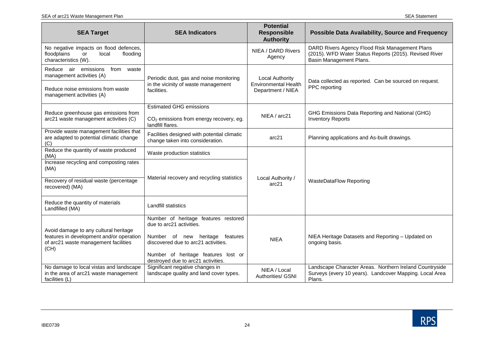| <b>SEA Target</b>                                                                                                                    | <b>SEA Indicators</b>                                                                                                                                                                                                   | <b>Potential</b><br><b>Responsible</b><br><b>Authority</b>                 | <b>Possible Data Availability, Source and Frequency</b>                                                                             |
|--------------------------------------------------------------------------------------------------------------------------------------|-------------------------------------------------------------------------------------------------------------------------------------------------------------------------------------------------------------------------|----------------------------------------------------------------------------|-------------------------------------------------------------------------------------------------------------------------------------|
| No negative impacts on flood defences,<br>floodplains<br>local<br>flooding<br>or<br>characteristics (W).                             |                                                                                                                                                                                                                         | NIEA / DARD Rivers<br>Agency                                               | DARD Rivers Agency Flood Risk Management Plans<br>(2015). WFD Water Status Reports (2015). Revised River<br>Basin Management Plans. |
| Reduce air emissions<br>from<br>waste<br>management activities (A)<br>Reduce noise emissions from waste<br>management activities (A) | Periodic dust, gas and noise monitoring<br>in the vicinity of waste management<br>facilities.                                                                                                                           | <b>Local Authority</b><br><b>Environmental Health</b><br>Department / NIEA | Data collected as reported. Can be sourced on request.<br>PPC reporting                                                             |
| Reduce greenhouse gas emissions from<br>arc21 waste management activities (C)                                                        | <b>Estimated GHG emissions</b><br>CO <sub>2</sub> emissions from energy recovery, eg.<br>landfill flares.                                                                                                               | NIEA / arc21                                                               | GHG Emissions Data Reporting and National (GHG)<br><b>Inventory Reports</b>                                                         |
| Provide waste management facilities that<br>are adapted to potential climatic change<br>(C)                                          | Facilities designed with potential climatic<br>change taken into consideration.                                                                                                                                         | arc21                                                                      | Planning applications and As-built drawings.                                                                                        |
| Reduce the quantity of waste produced<br>(MA)<br>Increase recycling and composting rates                                             | Waste production statistics                                                                                                                                                                                             |                                                                            |                                                                                                                                     |
| (MA)<br>Recovery of residual waste (percentage<br>recovered) (MA)                                                                    | Material recovery and recycling statistics                                                                                                                                                                              | Local Authority /<br>arc21                                                 | <b>WasteDataFlow Reporting</b>                                                                                                      |
| Reduce the quantity of materials<br>Landfilled (MA)                                                                                  | <b>Landfill statistics</b>                                                                                                                                                                                              |                                                                            |                                                                                                                                     |
| Avoid damage to any cultural heritage<br>features in development and/or operation<br>of arc21 waste management facilities<br>(CH)    | Number of heritage features restored<br>due to arc21 activities.<br>Number of new heritage features<br>discovered due to arc21 activities.<br>Number of heritage features lost or<br>destroyed due to arc21 activities. | <b>NIEA</b>                                                                | NIEA Heritage Datasets and Reporting - Updated on<br>ongoing basis.                                                                 |
| No damage to local vistas and landscape<br>in the area of arc21 waste management<br>facilities (L)                                   | Significant negative changes in<br>landscape quality and land cover types.                                                                                                                                              | NIEA / Local<br>Authorities/ GSNI                                          | Landscape Character Areas. Northern Ireland Countryside<br>Surveys (every 10 years). Landcover Mapping. Local Area<br>Plans.        |

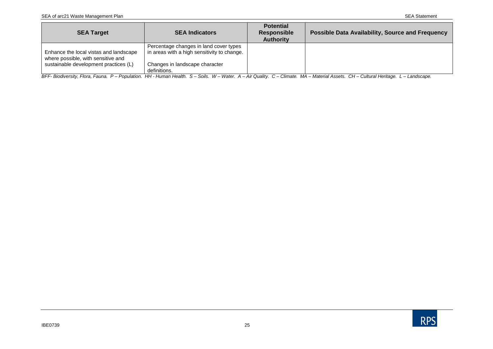| <b>SEA Target</b>                                                            | <b>SEA Indicators</b>                                                                 | <b>Potential</b><br><b>Responsible</b><br><b>Authority</b> | <b>Possible Data Availability, Source and Frequency</b> |
|------------------------------------------------------------------------------|---------------------------------------------------------------------------------------|------------------------------------------------------------|---------------------------------------------------------|
| Enhance the local vistas and landscape<br>where possible, with sensitive and | Percentage changes in land cover types<br>in areas with a high sensitivity to change. |                                                            |                                                         |
| sustainable development practices (L)                                        | Changes in landscape character<br>definitions.                                        |                                                            |                                                         |

BFF- Biodiversity, Flora, Fauna. P – Population. HH - Human Health. S – Soils. W – Water. A – Air Quality. C – Climate. MA – Material Assets. CH – Cultural Heritage. L – Landscape.